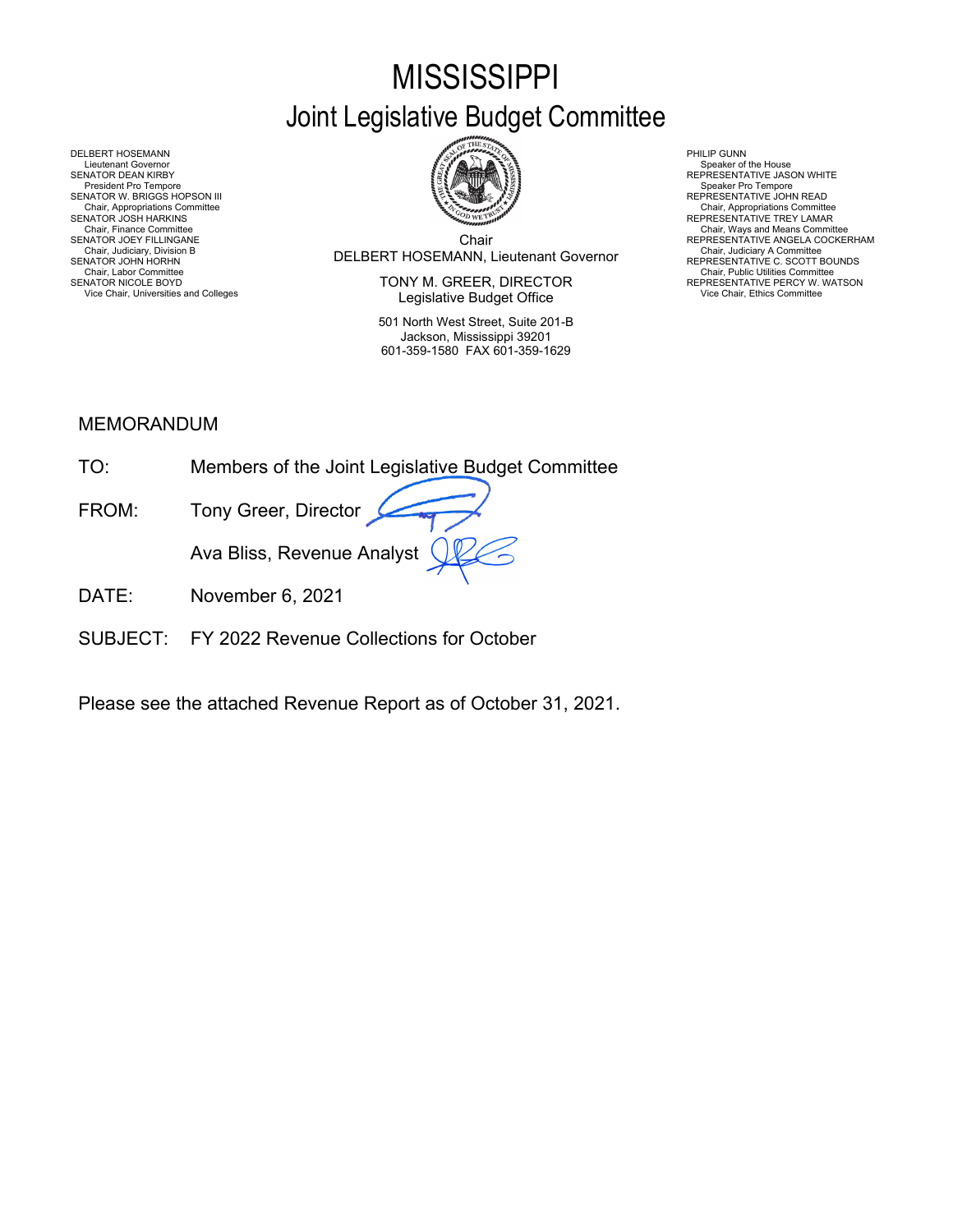# **MISSISSIPPI** Joint Legislative Budget Committee



Chair Chair, Judiciary, Division B<br>SENATOR JOHN HORHN REPRESENTATIVE C. SCOTT BOUNDS

SENATOR NICOLE BOYD **EXECTOR EXECTOR EXECTOR** TONY M. GREER, DIRECTOR THE REPRESENTATIVE PERCY W. WATSON Vice Chair, Universities and Colleges **Vice Chair, Ethics Committee Legislative Budget Office** Vice Chair, Ethics Committee Vice Chair, Ethics Committee **Legislative Budget Office** 

> 501 North West Street, Suite 201-B Jackson, Mississippi 39201 601-359-1580 FAX 601-359-1629

> > X

Chair, Appropriations Committee<br>REPRESENTATIVE TREY LAMAR

Chair, Finance Committee<br>SENATOR JOEY FILLINGANE NEERES AND THE SENATOR JOEY FILLINGANE ANGELA COCKERHAM

DELBERT HOSEMANN PHILIP GUNN<br>Lieutenant Governor Speaker of Speaker of Speaker of Speaker of Speaker of Speaker of Speaker of Speaker of Sp Lieutenant Governor (Speaker of the House President Governor Speaker of the House President Orientative Jason W<br>SENATOR DEAN KIRBY REPRESENTATIVE JASON WHITE<br>President Pro Tempore Pro Tempore Pro Tempore Pro Tempore Pro Te SENATOR W. BRIGGS HOPSON III READ AND READ AND READ AND REPRESENTATIVE JOHN READ Chair, Appropriations Committee<br>SENATOR JOSH HARKINS<br>Chair, Finance Committee<br>SENATOR JOEY FILLINGANE Chair, Judiciary Atomintee Chair, Judiciary Atomintee Chair, Judiciary Atomintee Chair, Chair, Chair, Chair, Chair, Chair, Chair, Chair, Chair, Chair, Uniciary Atomintee Chair, Labor Committee Chair, Labor Committee Chair,

# MEMORANDUM

| TO.   | Members of the Joint Legislative Budget Committee |
|-------|---------------------------------------------------|
| FROM: | Tony Greer, Director                              |
|       | Ava Bliss, Revenue Analyst $\bigcirc$             |

- DATE: November 6, 2021
- SUBJECT: FY 2022 Revenue Collections for October

Please see the attached Revenue Report as of October 31, 2021.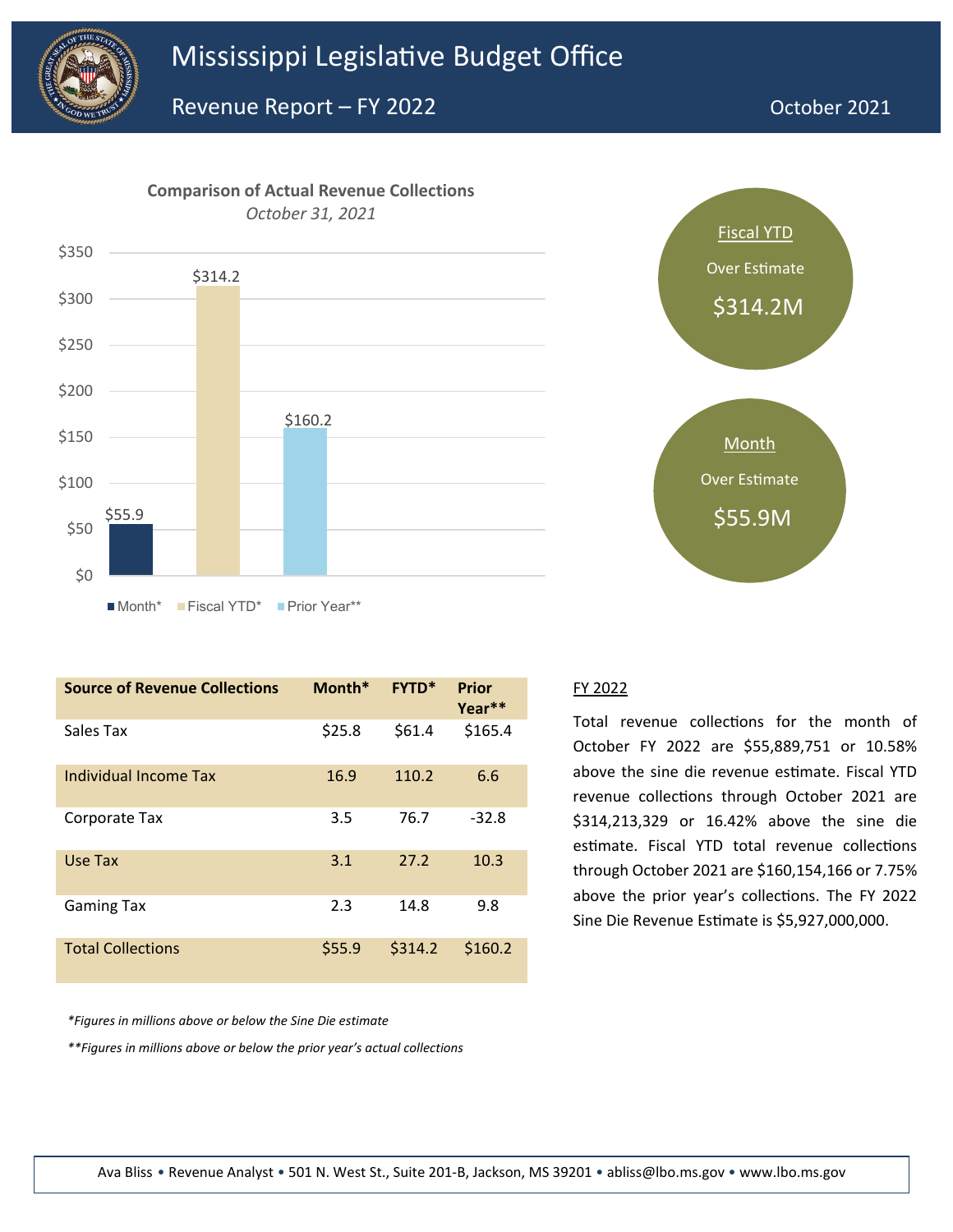



| <b>Source of Revenue Collections</b> | Month* | <b>FYTD*</b> | Prior<br>Year** |
|--------------------------------------|--------|--------------|-----------------|
| Sales Tax                            | \$25.8 | \$61.4       | \$165.4         |
| Individual Income Tax                | 16.9   | 110.2        | 6.6             |
| Corporate Tax                        | 3.5    | 76.7         | $-32.8$         |
| Use Tax                              | 3.1    | 27.2         | 10.3            |
| Gaming Tax                           | 2.3    | 14.8         | 9.8             |
| <b>Total Collections</b>             | \$55.9 | \$314.2      | \$160.2         |



#### FY 2022

Total revenue collections for the month of October FY 2022 are \$55,889,751 or 10.58% above the sine die revenue estimate. Fiscal YTD revenue collections through October 2021 are \$314,213,329 or 16.42% above the sine die estimate. Fiscal YTD total revenue collections through October 2021 are \$160,154,166 or 7.75% above the prior year's collections. The FY 2022 Sine Die Revenue Estimate is \$5,927,000,000.

*\*Figures in millions above or below the Sine Die estimate*

*\*\*Figures in millions above or below the prior year's actual collections*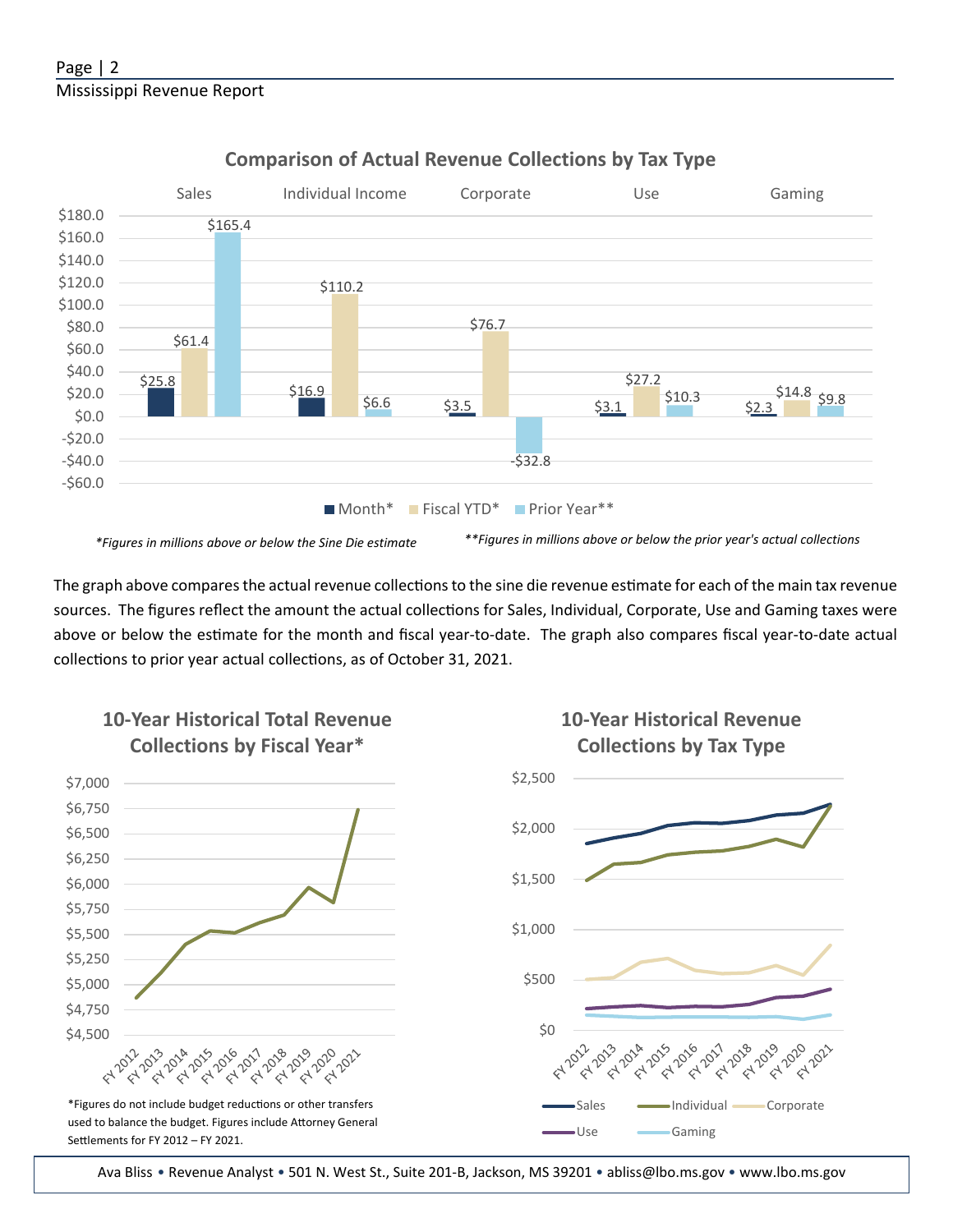

## **Comparison of Actual Revenue Collections by Tax Type**

The graph above compares the actual revenue collections to the sine die revenue estimate for each of the main tax revenue sources. The figures reflect the amount the actual collections for Sales, Individual, Corporate, Use and Gaming taxes were above or below the estimate for the month and fiscal year-to-date. The graph also compares fiscal year-to-date actual collections to prior year actual collections, as of October 31, 2021.



Ava Bliss • Revenue Analyst • 501 N. West St., Suite 201-B, Jackson, MS 39201 • abliss@lbo.ms.gov • [www.lbo.ms.gov](http://www.mississippi.edu/urc)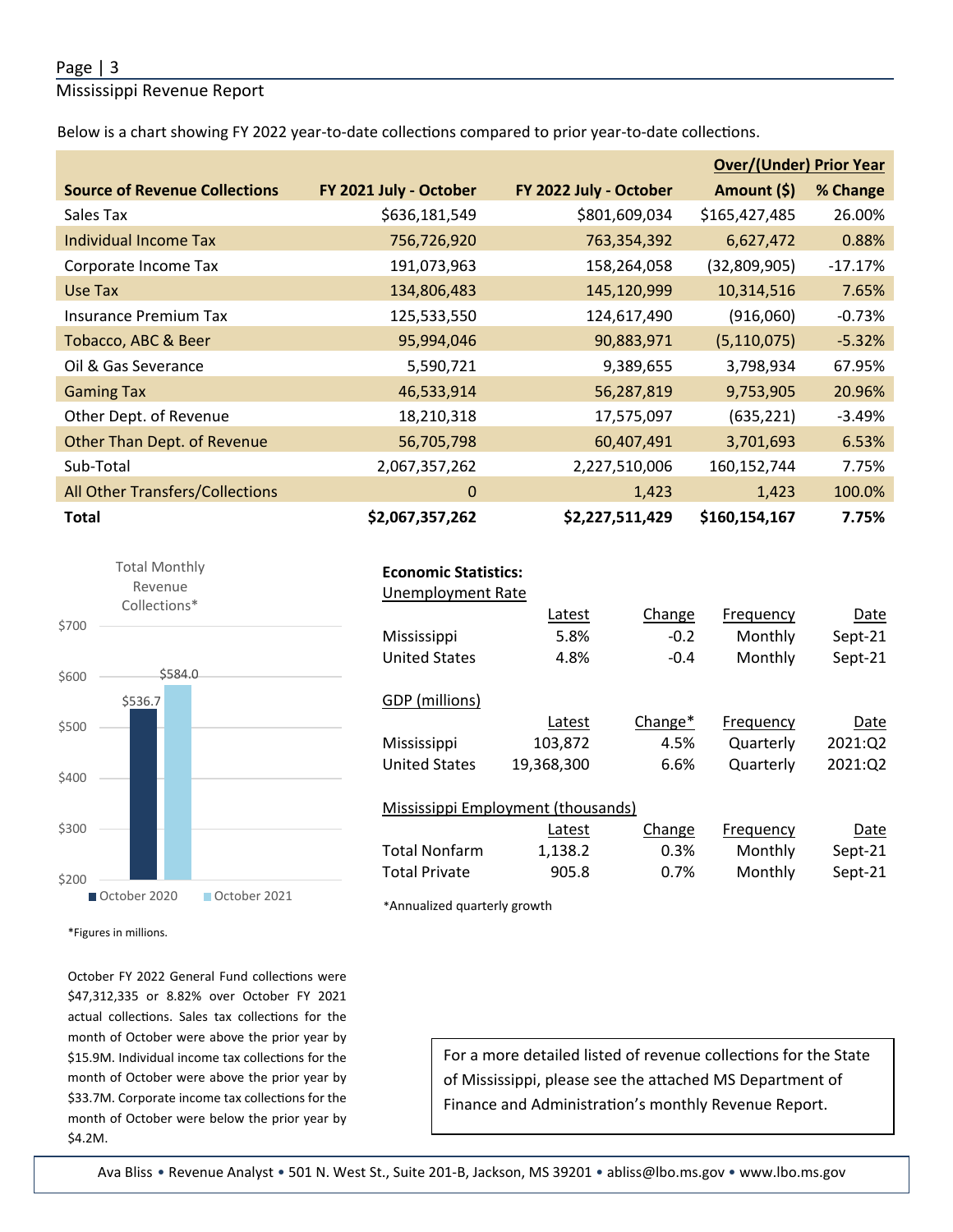### Page | 3

Mississippi Revenue Report

Below is a chart showing FY 2022 year-to-date collections compared to prior year-to-date collections.

|                                      |                        |                        | <b>Over/(Under) Prior Year</b> |           |  |
|--------------------------------------|------------------------|------------------------|--------------------------------|-----------|--|
| <b>Source of Revenue Collections</b> | FY 2021 July - October | FY 2022 July - October | Amount (\$)                    | % Change  |  |
| Sales Tax                            | \$636,181,549          | \$801,609,034          | \$165,427,485                  | 26.00%    |  |
| Individual Income Tax                | 756,726,920            | 763,354,392            | 6,627,472                      | 0.88%     |  |
| Corporate Income Tax                 | 191,073,963            | 158,264,058            | (32,809,905)                   | $-17.17%$ |  |
| Use Tax                              | 134,806,483            | 145,120,999            | 10,314,516                     | 7.65%     |  |
| Insurance Premium Tax                | 125,533,550            | 124,617,490            | (916,060)                      | $-0.73%$  |  |
| Tobacco, ABC & Beer                  | 95,994,046             | 90,883,971             | (5, 110, 075)                  | $-5.32%$  |  |
| Oil & Gas Severance                  | 5,590,721              | 9,389,655              | 3,798,934                      | 67.95%    |  |
| <b>Gaming Tax</b>                    | 46,533,914             | 56,287,819             | 9,753,905                      | 20.96%    |  |
| Other Dept. of Revenue               | 18,210,318             | 17,575,097             | (635, 221)                     | $-3.49%$  |  |
| Other Than Dept. of Revenue          | 56,705,798             | 60,407,491             | 3,701,693                      | 6.53%     |  |
| Sub-Total                            | 2,067,357,262          | 2,227,510,006          | 160,152,744                    | 7.75%     |  |
| All Other Transfers/Collections      | $\mathbf{0}$           | 1,423                  | 1,423                          | 100.0%    |  |
| <b>Total</b>                         | \$2,067,357,262        | \$2,227,511,429        | \$160,154,167                  | 7.75%     |  |



| <b>Economic Statistics:</b> |  |
|-----------------------------|--|
|-----------------------------|--|

| Change     | Frequency                          | Date    |
|------------|------------------------------------|---------|
| $-0.2$     | Monthly                            | Sept-21 |
| $-0.4$     | Monthly                            | Sept-21 |
|            |                                    |         |
|            |                                    |         |
| Change $*$ | Frequency                          | Date    |
| 4.5%       | Quarterly                          | 2021:Q2 |
| 6.6%       | Quarterly                          | 2021:Q2 |
|            |                                    |         |
|            |                                    |         |
| Change     | Frequency                          | Date    |
| 0.3%       | Monthly                            | Sept-21 |
|            | Mississippi Employment (thousands) |         |

Total Private 905.8 0.7% Monthly Sept-21

\*Annualized quarterly growth

\*Figures in millions.

October FY 2022 General Fund collections were \$47,312,335 or 8.82% over October FY 2021 actual collections. Sales tax collections for the month of October were above the prior year by \$15.9M. Individual income tax collections for the month of October were above the prior year by \$33.7M. Corporate income tax collections for the month of October were below the prior year by \$4.2M.

For a more detailed listed of revenue collections for the State of Mississippi, please see the atached MS Department of Finance and Administration's monthly Revenue Report.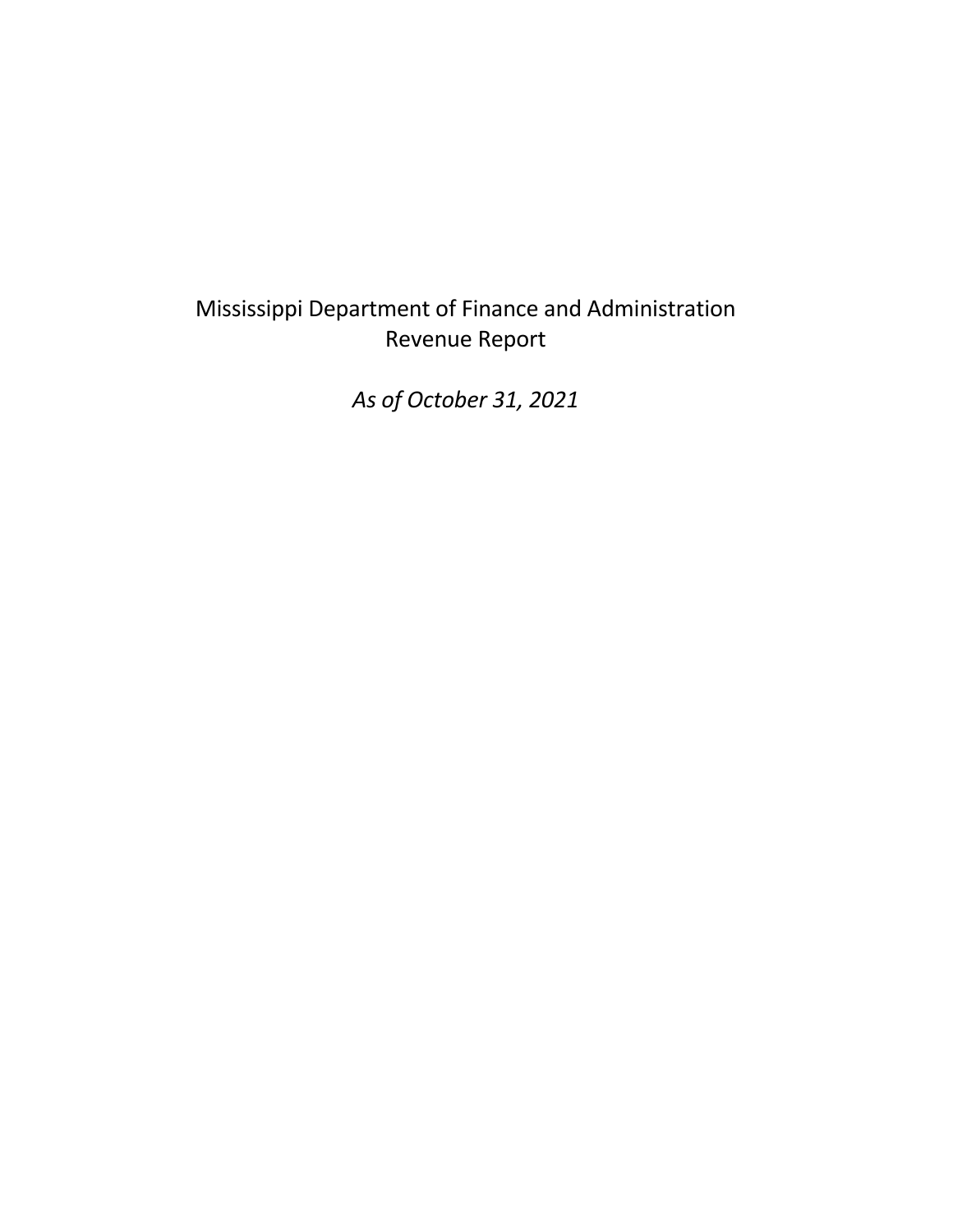# Mississippi Department of Finance and Administration Revenue Report

*As of October 31, 2021*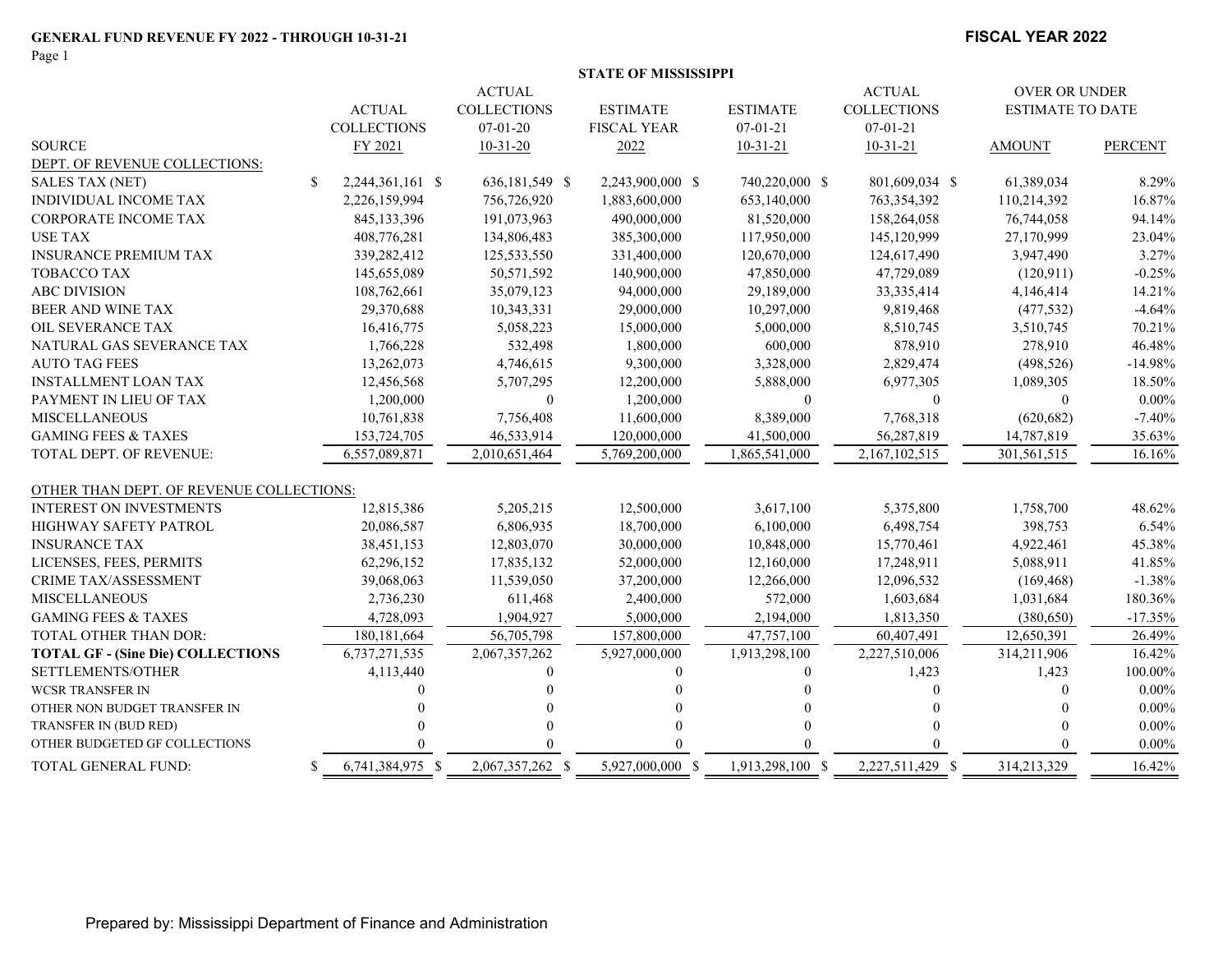Page 1

#### **FISCAL YEAR 2022**

|  | STATE OF MISSISSIPPI |  |
|--|----------------------|--|
|  |                      |  |

|                                          |    |                    | <b>ACTUAL</b>      |                    |                  | <b>ACTUAL</b>      | OVER OR UNDER           |                |
|------------------------------------------|----|--------------------|--------------------|--------------------|------------------|--------------------|-------------------------|----------------|
|                                          |    | <b>ACTUAL</b>      | <b>COLLECTIONS</b> | <b>ESTIMATE</b>    | <b>ESTIMATE</b>  | <b>COLLECTIONS</b> | <b>ESTIMATE TO DATE</b> |                |
|                                          |    | <b>COLLECTIONS</b> | $07 - 01 - 20$     | <b>FISCAL YEAR</b> | $07 - 01 - 21$   | $07 - 01 - 21$     |                         |                |
| <b>SOURCE</b>                            |    | FY 2021            | $10-31-20$         | 2022               | $10 - 31 - 21$   | $10-31-21$         | <b>AMOUNT</b>           | <b>PERCENT</b> |
| DEPT. OF REVENUE COLLECTIONS:            |    |                    |                    |                    |                  |                    |                         |                |
| <b>SALES TAX (NET)</b>                   | \$ | 2,244,361,161 \$   | 636,181,549 \$     | 2,243,900,000 \$   | 740,220,000 \$   | 801,609,034 \$     | 61,389,034              | 8.29%          |
| <b>INDIVIDUAL INCOME TAX</b>             |    | 2,226,159,994      | 756,726,920        | 1,883,600,000      | 653,140,000      | 763,354,392        | 110,214,392             | 16.87%         |
| <b>CORPORATE INCOME TAX</b>              |    | 845,133,396        | 191,073,963        | 490,000,000        | 81,520,000       | 158,264,058        | 76,744,058              | 94.14%         |
| <b>USE TAX</b>                           |    | 408,776,281        | 134,806,483        | 385,300,000        | 117,950,000      | 145,120,999        | 27,170,999              | 23.04%         |
| <b>INSURANCE PREMIUM TAX</b>             |    | 339,282,412        | 125,533,550        | 331,400,000        | 120,670,000      | 124,617,490        | 3,947,490               | 3.27%          |
| <b>TOBACCO TAX</b>                       |    | 145,655,089        | 50,571,592         | 140,900,000        | 47,850,000       | 47,729,089         | (120, 911)              | $-0.25%$       |
| <b>ABC DIVISION</b>                      |    | 108,762,661        | 35,079,123         | 94,000,000         | 29,189,000       | 33, 335, 414       | 4,146,414               | 14.21%         |
| BEER AND WINE TAX                        |    | 29,370,688         | 10,343,331         | 29,000,000         | 10,297,000       | 9,819,468          | (477, 532)              | $-4.64%$       |
| OIL SEVERANCE TAX                        |    | 16,416,775         | 5,058,223          | 15,000,000         | 5,000,000        | 8,510,745          | 3,510,745               | 70.21%         |
| NATURAL GAS SEVERANCE TAX                |    | 1,766,228          | 532,498            | 1,800,000          | 600,000          | 878,910            | 278,910                 | 46.48%         |
| <b>AUTO TAG FEES</b>                     |    | 13,262,073         | 4,746,615          | 9,300,000          | 3,328,000        | 2,829,474          | (498, 526)              | $-14.98%$      |
| <b>INSTALLMENT LOAN TAX</b>              |    | 12,456,568         | 5,707,295          | 12,200,000         | 5,888,000        | 6,977,305          | 1,089,305               | 18.50%         |
| PAYMENT IN LIEU OF TAX                   |    | 1,200,000          | $\overline{0}$     | 1,200,000          | $\overline{0}$   | $\mathbf{0}$       | $\mathbf{0}$            | $0.00\%$       |
| <b>MISCELLANEOUS</b>                     |    | 10,761,838         | 7,756,408          | 11,600,000         | 8,389,000        | 7,768,318          | (620, 682)              | $-7.40%$       |
| <b>GAMING FEES &amp; TAXES</b>           |    | 153,724,705        | 46,533,914         | 120,000,000        | 41,500,000       | 56,287,819         | 14,787,819              | 35.63%         |
| <b>TOTAL DEPT. OF REVENUE:</b>           |    | 6,557,089,871      | 2,010,651,464      | 5,769,200,000      | 1,865,541,000    | 2,167,102,515      | 301,561,515             | 16.16%         |
|                                          |    |                    |                    |                    |                  |                    |                         |                |
| OTHER THAN DEPT. OF REVENUE COLLECTIONS: |    |                    |                    |                    |                  |                    |                         |                |
| <b>INTEREST ON INVESTMENTS</b>           |    | 12,815,386         | 5,205,215          | 12,500,000         | 3,617,100        | 5,375,800          | 1,758,700               | 48.62%         |
| <b>HIGHWAY SAFETY PATROL</b>             |    | 20,086,587         | 6,806,935          | 18,700,000         | 6,100,000        | 6,498,754          | 398,753                 | 6.54%          |
| <b>INSURANCE TAX</b>                     |    | 38,451,153         | 12,803,070         | 30,000,000         | 10,848,000       | 15,770,461         | 4,922,461               | 45.38%         |
| LICENSES, FEES, PERMITS                  |    | 62,296,152         | 17,835,132         | 52,000,000         | 12,160,000       | 17,248,911         | 5,088,911               | 41.85%         |
| <b>CRIME TAX/ASSESSMENT</b>              |    | 39,068,063         | 11,539,050         | 37,200,000         | 12,266,000       | 12,096,532         | (169, 468)              | $-1.38%$       |
| <b>MISCELLANEOUS</b>                     |    | 2,736,230          | 611,468            | 2,400,000          | 572,000          | 1,603,684          | 1,031,684               | 180.36%        |
| <b>GAMING FEES &amp; TAXES</b>           |    | 4,728,093          | 1,904,927          | 5,000,000          | 2,194,000        | 1,813,350          | (380, 650)              | $-17.35%$      |
| TOTAL OTHER THAN DOR:                    |    | 180, 181, 664      | 56,705,798         | 157,800,000        | 47,757,100       | 60,407,491         | 12,650,391              | 26.49%         |
| <b>TOTAL GF - (Sine Die) COLLECTIONS</b> |    | 6,737,271,535      | 2,067,357,262      | 5,927,000,000      | 1,913,298,100    | 2,227,510,006      | 314,211,906             | 16.42%         |
| SETTLEMENTS/OTHER                        |    | 4,113,440          |                    |                    | 0                | 1,423              | 1,423                   | 100.00%        |
| <b>WCSR TRANSFER IN</b>                  |    |                    |                    |                    |                  |                    |                         | $0.00\%$       |
| OTHER NON BUDGET TRANSFER IN             |    |                    |                    |                    |                  |                    |                         | $0.00\%$       |
| TRANSFER IN (BUD RED)                    |    |                    |                    |                    |                  |                    |                         | $0.00\%$       |
| OTHER BUDGETED GF COLLECTIONS            |    |                    |                    |                    |                  |                    |                         | $0.00\%$       |
| TOTAL GENERAL FUND:                      | -S | 6,741,384,975 \$   | 2,067,357,262 \$   | 5,927,000,000 \$   | 1,913,298,100 \$ | 2,227,511,429 \$   | 314,213,329             | 16.42%         |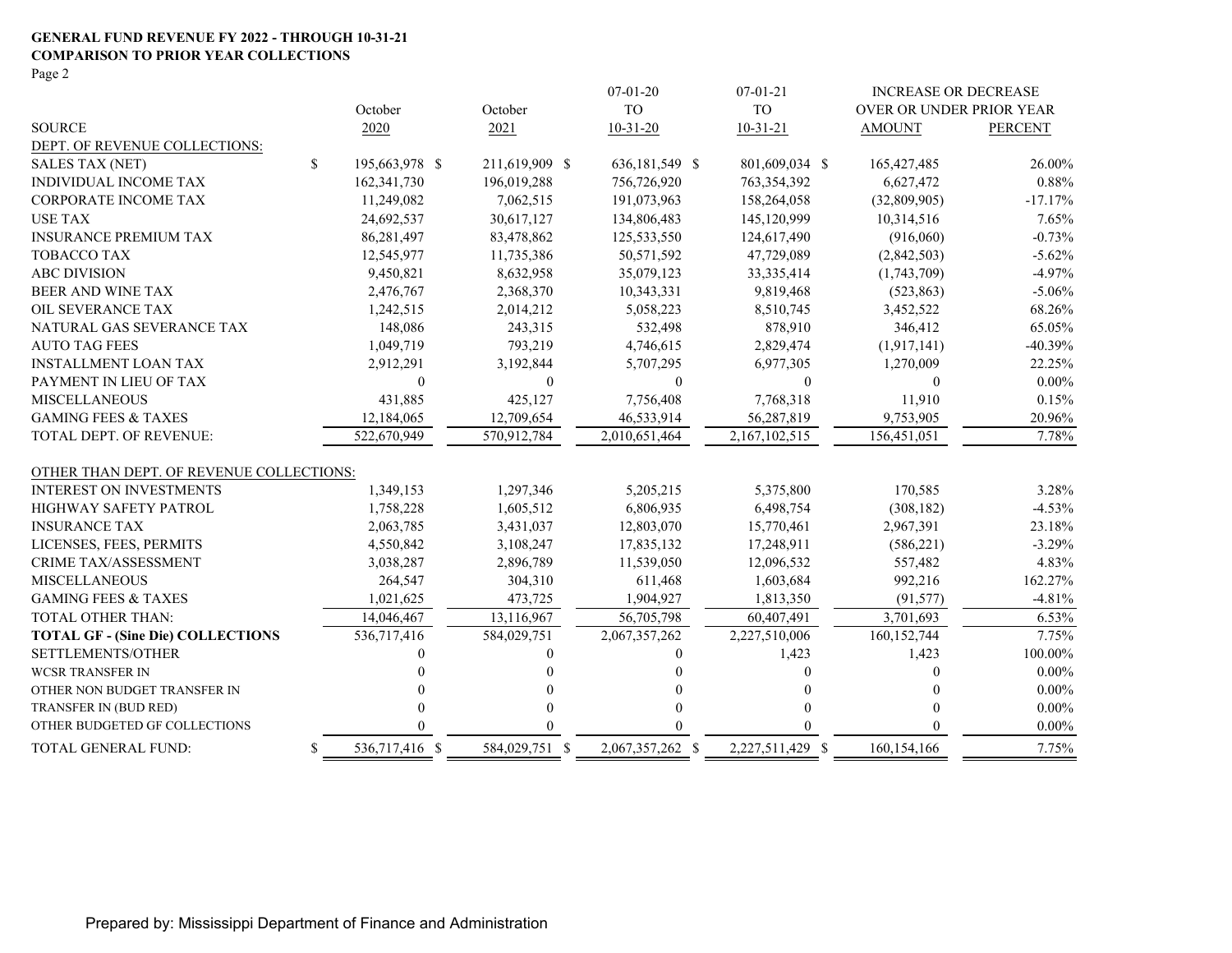### **GENERAL FUND REVENUE FY 2022 - THROUGH 10-31-21 COMPARISON TO PRIOR YEAR COLLECTIONS**

Page 2

|                                          |    |                |                | $07 - 01 - 20$   | $07 - 01 - 21$   | <b>INCREASE OR DECREASE</b> |                |
|------------------------------------------|----|----------------|----------------|------------------|------------------|-----------------------------|----------------|
|                                          |    | October        | October        | <b>TO</b>        | <b>TO</b>        | OVER OR UNDER PRIOR YEAR    |                |
| <b>SOURCE</b>                            |    | 2020           | 2021           | $10 - 31 - 20$   | $10-31-21$       | <b>AMOUNT</b>               | <b>PERCENT</b> |
| DEPT. OF REVENUE COLLECTIONS:            |    |                |                |                  |                  |                             |                |
| <b>SALES TAX (NET)</b>                   | \$ | 195,663,978 \$ | 211,619,909 \$ | 636,181,549 \$   | 801,609,034 \$   | 165, 427, 485               | 26.00%         |
| INDIVIDUAL INCOME TAX                    |    | 162, 341, 730  | 196,019,288    | 756,726,920      | 763, 354, 392    | 6,627,472                   | 0.88%          |
| <b>CORPORATE INCOME TAX</b>              |    | 11,249,082     | 7,062,515      | 191,073,963      | 158,264,058      | (32,809,905)                | $-17.17%$      |
| <b>USE TAX</b>                           |    | 24,692,537     | 30,617,127     | 134,806,483      | 145,120,999      | 10,314,516                  | 7.65%          |
| <b>INSURANCE PREMIUM TAX</b>             |    | 86,281,497     | 83,478,862     | 125,533,550      | 124,617,490      | (916,060)                   | $-0.73%$       |
| <b>TOBACCO TAX</b>                       |    | 12,545,977     | 11,735,386     | 50,571,592       | 47,729,089       | (2,842,503)                 | $-5.62%$       |
| <b>ABC DIVISION</b>                      |    | 9,450,821      | 8,632,958      | 35,079,123       | 33, 335, 414     | (1,743,709)                 | $-4.97%$       |
| BEER AND WINE TAX                        |    | 2,476,767      | 2,368,370      | 10,343,331       | 9,819,468        | (523, 863)                  | $-5.06%$       |
| OIL SEVERANCE TAX                        |    | 1,242,515      | 2,014,212      | 5,058,223        | 8,510,745        | 3,452,522                   | 68.26%         |
| NATURAL GAS SEVERANCE TAX                |    | 148,086        | 243,315        | 532,498          | 878,910          | 346,412                     | 65.05%         |
| <b>AUTO TAG FEES</b>                     |    | 1,049,719      | 793,219        | 4,746,615        | 2,829,474        | (1,917,141)                 | $-40.39%$      |
| <b>INSTALLMENT LOAN TAX</b>              |    | 2,912,291      | 3,192,844      | 5,707,295        | 6,977,305        | 1,270,009                   | 22.25%         |
| PAYMENT IN LIEU OF TAX                   |    | $\overline{0}$ | $\mathbf{0}$   | $\theta$         | $\theta$         | $\Omega$                    | $0.00\%$       |
| <b>MISCELLANEOUS</b>                     |    | 431,885        | 425,127        | 7,756,408        | 7,768,318        | 11,910                      | 0.15%          |
| <b>GAMING FEES &amp; TAXES</b>           |    | 12,184,065     | 12,709,654     | 46,533,914       | 56,287,819       | 9,753,905                   | 20.96%         |
| <b>TOTAL DEPT. OF REVENUE:</b>           |    | 522,670,949    | 570,912,784    | 2.010.651.464    | 2,167,102,515    | 156.451.051                 | 7.78%          |
| OTHER THAN DEPT. OF REVENUE COLLECTIONS: |    |                |                |                  |                  |                             |                |
| <b>INTEREST ON INVESTMENTS</b>           |    | 1,349,153      | 1,297,346      | 5,205,215        | 5,375,800        | 170,585                     | 3.28%          |
| HIGHWAY SAFETY PATROL                    |    | 1,758,228      | 1,605,512      | 6,806,935        | 6,498,754        | (308, 182)                  | $-4.53%$       |
| <b>INSURANCE TAX</b>                     |    | 2,063,785      | 3,431,037      | 12,803,070       | 15,770,461       | 2,967,391                   | 23.18%         |
| LICENSES, FEES, PERMITS                  |    | 4,550,842      | 3,108,247      | 17,835,132       | 17,248,911       | (586, 221)                  | $-3.29%$       |
| <b>CRIME TAX/ASSESSMENT</b>              |    | 3,038,287      | 2,896,789      | 11,539,050       | 12,096,532       | 557,482                     | 4.83%          |
| <b>MISCELLANEOUS</b>                     |    | 264,547        | 304,310        | 611,468          | 1,603,684        | 992,216                     | 162.27%        |
| <b>GAMING FEES &amp; TAXES</b>           |    | 1,021,625      | 473,725        | 1,904,927        | 1,813,350        | (91, 577)                   | $-4.81%$       |
| <b>TOTAL OTHER THAN:</b>                 |    | 14,046,467     | 13,116,967     | 56,705,798       | 60,407,491       | 3,701,693                   | 6.53%          |
| <b>TOTAL GF - (Sine Die) COLLECTIONS</b> |    | 536,717,416    | 584,029,751    | 2,067,357,262    | 2,227,510,006    | 160, 152, 744               | 7.75%          |
| SETTLEMENTS/OTHER                        |    |                | $\Omega$       |                  | 1,423            | 1,423                       | 100.00%        |
| <b>WCSR TRANSFER IN</b>                  |    |                | $\Omega$       |                  | $\Omega$         | 0                           | $0.00\%$       |
| OTHER NON BUDGET TRANSFER IN             |    |                | 0              |                  |                  | $\theta$                    | $0.00\%$       |
| TRANSFER IN (BUD RED)                    |    |                | $\theta$       |                  |                  |                             | $0.00\%$       |
| OTHER BUDGETED GF COLLECTIONS            |    |                | $\Omega$       |                  |                  | 0                           | $0.00\%$       |
| TOTAL GENERAL FUND:                      | S. | 536,717,416 \$ | 584,029,751 \$ | 2,067,357,262 \$ | 2,227,511,429 \$ | 160, 154, 166               | 7.75%          |